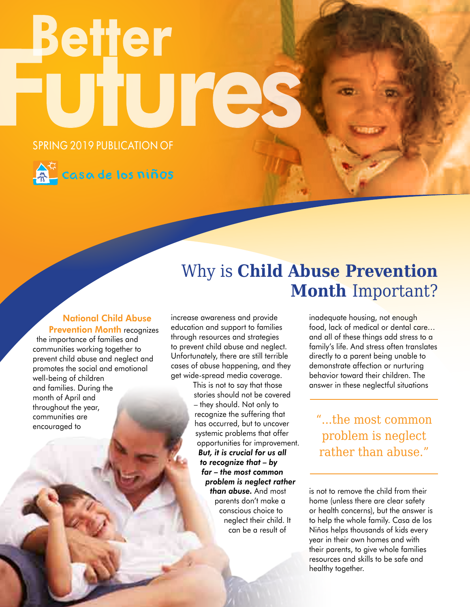# Better uture Spring 2019 Publication of



### Why is **Child Abuse Prevention Month** Important?

#### National Child Abuse **Prevention Month recognizes**

the importance of families and communities working together to prevent child abuse and neglect and promotes the social and emotional well-being of children and families. During the month of April and throughout the year, communities are encouraged to

increase awareness and provide education and support to families through resources and strategies to prevent child abuse and neglect. Unfortunately, there are still terrible cases of abuse happening, and they get wide-spread media coverage.

This is not to say that those stories should not be covered – they should. Not only to recognize the suffering that has occurred, but to uncover systemic problems that offer opportunities for improvement. *But, it is crucial for us all to recognize that – by far – the most common problem is neglect rather than abuse.* And most parents don't make a conscious choice to neglect their child. It can be a result of

inadequate housing, not enough food, lack of medical or dental care… and all of these things add stress to a family's life. And stress often translates directly to a parent being unable to demonstrate affection or nurturing behavior toward their children. The answer in these neglectful situations

"...the most common problem is neglect rather than abuse."

is not to remove the child from their home (unless there are clear safety or health concerns), but the answer is to help the whole family. Casa de los Niños helps thousands of kids every year in their own homes and with their parents, to give whole families resources and skills to be safe and healthy together.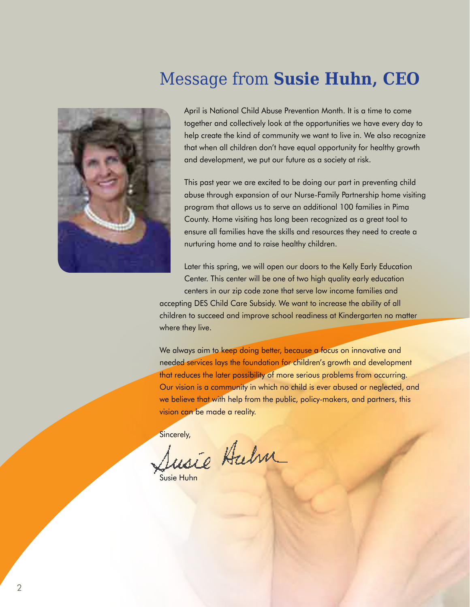### Message from **Susie Huhn, CEO**



April is National Child Abuse Prevention Month. It is a time to come together and collectively look at the opportunities we have every day to help create the kind of community we want to live in. We also recognize that when all children don't have equal opportunity for healthy growth and development, we put our future as a society at risk.

This past year we are excited to be doing our part in preventing child abuse through expansion of our Nurse-Family Partnership home visiting program that allows us to serve an additional 100 families in Pima County. Home visiting has long been recognized as a great tool to ensure all families have the skills and resources they need to create a nurturing home and to raise healthy children.

Later this spring, we will open our doors to the Kelly Early Education Center. This center will be one of two high quality early education centers in our zip code zone that serve low income families and

accepting DES Child Care Subsidy. We want to increase the ability of all children to succeed and improve school readiness at Kindergarten no matter where they live.

We always aim to keep doing better, because a focus on innovative and needed services lays the foundation for children's growth and development that reduces the later possibility of more serious problems from occurring. Our vision is a community in which no child is ever abused or neglected, and we believe that with help from the public, policy-makers, and partners, this vision can be made a reality.

Sincerely,<br>Susie Hahn

Susie Huhn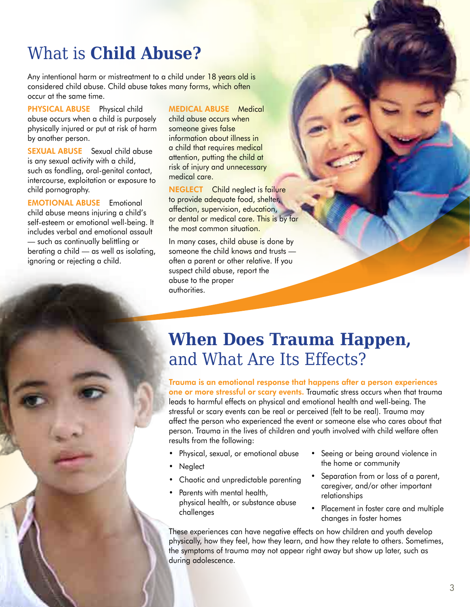## What is **Child Abuse?**

Any intentional harm or mistreatment to a child under 18 years old is considered child abuse. Child abuse takes many forms, which often occur at the same time.

PHYSICAL ABUSE Physical child abuse occurs when a child is purposely physically injured or put at risk of harm by another person.

SEXUAL ABUSE Sexual child abuse is any sexual activity with a child, such as fondling, oral-genital contact, intercourse, exploitation or exposure to child pornography.

Emotional abuse Emotional child abuse means injuring a child's self-esteem or emotional well-being. It includes verbal and emotional assault — such as continually belittling or berating a child — as well as isolating, ignoring or rejecting a child.

Medical abuse Medical child abuse occurs when someone gives false information about illness in a child that requires medical attention, putting the child at risk of injury and unnecessary medical care.

**NEGLECT** Child neglect is failure to provide adequate food, shelter, affection, supervision, education, or dental or medical care. This is by far the most common situation.

In many cases, child abuse is done by someone the child knows and trusts often a parent or other relative. If you suspect child abuse, report the abuse to the proper authorities.

### **When Does Trauma Happen,**  and What Are Its Effects?

Trauma is an emotional response that happens after a person experiences one or more stressful or scary events. Traumatic stress occurs when that trauma leads to harmful effects on physical and emotional health and well-being. The stressful or scary events can be real or perceived (felt to be real). Trauma may affect the person who experienced the event or someone else who cares about that person. Trauma in the lives of children and youth involved with child welfare often results from the following:

- • Physical, sexual, or emotional abuse
- Neglect
- Chaotic and unpredictable parenting
- • Parents with mental health, physical health, or substance abuse challenges
- Seeing or being around violence in the home or community
- Separation from or loss of a parent, caregiver, and/or other important relationships
- • Placement in foster care and multiple changes in foster homes

These experiences can have negative effects on how children and youth develop physically, how they feel, how they learn, and how they relate to others. Sometimes, the symptoms of trauma may not appear right away but show up later, such as during adolescence.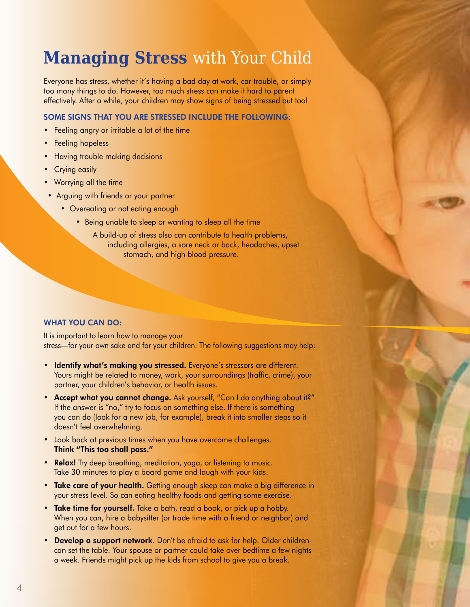## **Managing Stress** with Your Child

Everyone has stress, whether it's having a bad day at work, car trouble, or simply too many things to do. However, too much stress can make it hard to parent effectively. After a while, your children may show signs of being stressed out too!

#### Some signs that you are stressed include the following:

- Feeling angry or irritable a lot of the time
- Feeling hopeless
- Having trouble making decisions
- **Crying easily**
- Worrying all the time
- Arguing with friends or your partner
	- Overeating or not eating enough
		- Being unable to sleep or wanting to sleep all the time
			- A build-up of stress also can contribute to health problems, including allergies, a sore neck or back, headaches, upset stomach, and high blood pressure.

#### WHAT YOU CAN DO:

It is important to learn how to manage your stress—for your own sake and for your children. The following suggestions may help:

- Identify what's making you stressed. Everyone's stressors are different. Yours might be related to money, work, your surroundings (traffic, crime), your partner, your children's behavior, or health issues.
- Accept what you cannot change. Ask yourself, "Can I do anything about it?" If the answer is "no," try to focus on something else. If there is something you can do (look for a new job, for example), break it into smaller steps so it doesn't feel overwhelming.
- Look back at previous times when you have overcome challenges. Think "This too shall pass."
- **Relax!** Try deep breathing, meditation, yoga, or listening to music. Take 30 minutes to play a board game and laugh with your kids.
- Take care of your health. Getting enough sleep can make a big difference in your stress level. So can eating healthy foods and getting some exercise.
- Take time for yourself. Take a bath, read a book, or pick up a hobby. When you can, hire a babysitter (or trade time with a friend or neighbor) and get out for a few hours.
- **Develop a support network.** Don't be afraid to ask for help. Older children can set the table. Your spouse or partner could take over bedtime a few nights a week. Friends might pick up the kids from school to give you a break.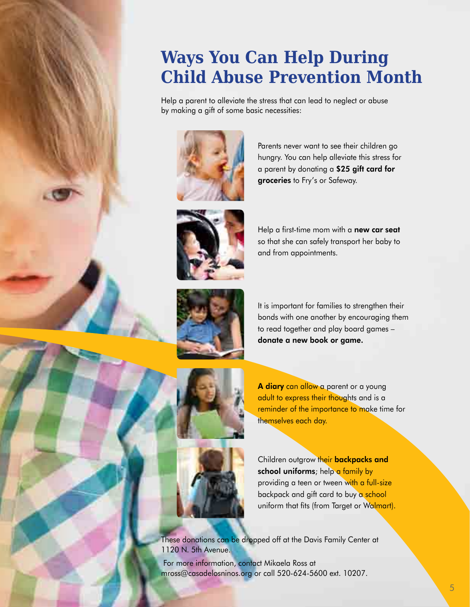## **Ways You Can Help During Child Abuse Prevention Month**

Help a parent to alleviate the stress that can lead to neglect or abuse by making a gift of some basic necessities:



Parents never want to see their children go hungry. You can help alleviate this stress for a parent by donating a \$25 gift card for groceries to Fry's or Safeway.



Help a first-time mom with a **new car seat** so that she can safely transport her baby to and from appointments.



It is important for families to strengthen their bonds with one another by encouraging them to read together and play board games – donate a new book or game.

A diary can allow a parent or a young adult to express their thoughts and is a reminder of the importance to make time for themselves each day.

Children outgrow their **backpacks and** school uniforms; help a family by providing a teen or tween with a full-size backpack and gift card to buy a school uniform that fits (from Target or Walmart).

These donations can be dropped off at the Davis Family Center at 1120 N. 5th Avenue.

 For more information, contact Mikaela Ross at mross@casadelosninos.org or call 520-624-5600 ext. 10207.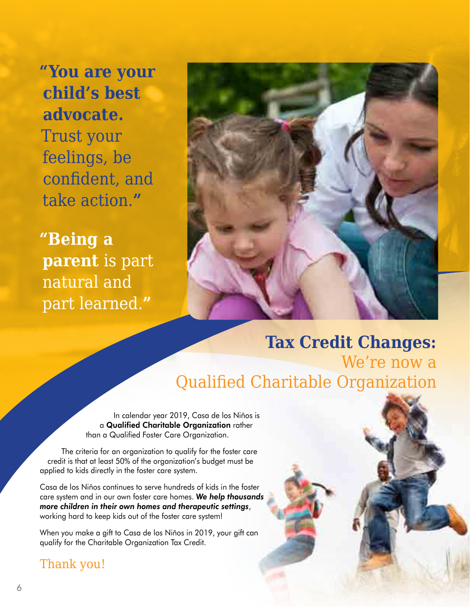**"You are your child's best advocate.**  Trust your feelings, be confident, and take action.**"**

**"Being a parent** is part natural and part learned.**"**



## **Tax Credit Changes:**

#### We're now a Qualified Charitable Organization

In calendar year 2019, Casa de los Niños is a Qualified Charitable Organization rather than a Qualified Foster Care Organization.

The criteria for an organization to qualify for the foster care credit is that at least 50% of the organization's budget must be applied to kids directly in the foster care system.

Casa de los Niños continues to serve hundreds of kids in the foster care system and in our own foster care homes. *We help thousands more children in their own homes and therapeutic settings*, working hard to keep kids out of the foster care system!

When you make a gift to Casa de los Niños in 2019, your gift can qualify for the Charitable Organization Tax Credit.

#### Thank you!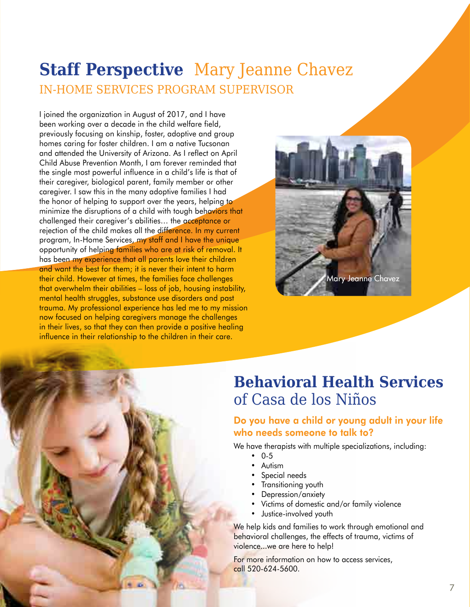### **Staff Perspective** Mary Jeanne Chavez In-Home Services Program Supervisor

I joined the organization in August of 2017, and I have been working over a decade in the child welfare field, previously focusing on kinship, foster, adoptive and group homes caring for foster children. I am a native Tucsonan and attended the University of Arizona. As I reflect on April Child Abuse Prevention Month, I am forever reminded that the single most powerful influence in a child's life is that of their caregiver, biological parent, family member or other caregiver. I saw this in the many adoptive families I had the honor of helping to support over the years, helping to minimize the disruptions of a child with tough behaviors that challenged their caregiver's abilities… the acceptance or rejection of the child makes all the difference. In my current program, In-Home Services, my staff and I have the unique opportunity of helping families who are at risk of removal. It has been my experience that all parents love their children and want the best for them; it is never their intent to harm their child. However at times, the families face challenges that overwhelm their abilities – loss of job, housing instability, mental health struggles, substance use disorders and past trauma. My professional experience has led me to my mission now focused on helping caregivers manage the challenges in their lives, so that they can then provide a positive healing influence in their relationship to the children in their care.



#### **Behavioral Health Services** of Casa de los Niños

#### Do you have a child or young adult in your life who needs someone to talk to?

We have therapists with multiple specializations, including:

- $\cdot$  0-5
- • Autism
- Special needs
- • Transitioning youth
- • Depression/anxiety
- • Victims of domestic and/or family violence
- • Justice-involved youth

We help kids and families to work through emotional and behavioral challenges, the effects of trauma, victims of violence...we are here to help!

For more information on how to access services, call 520-624-5600.